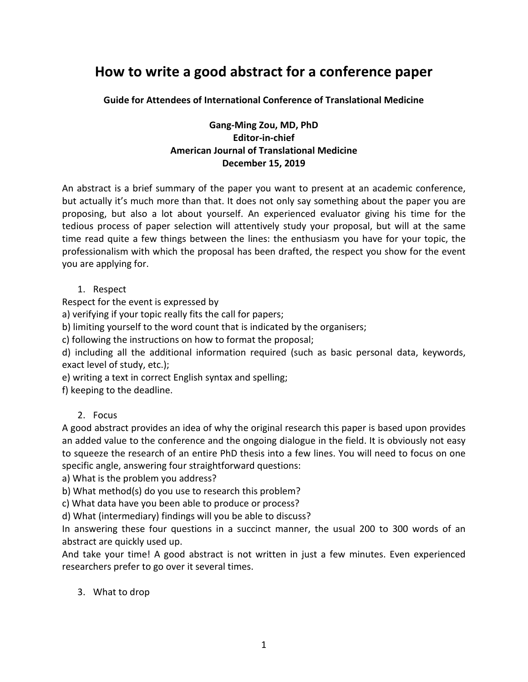# **How to write a good abstract for a conference paper**

**Guide for Attendees of International Conference of Translational Medicine**

## **Gang-Ming Zou, MD, PhD Editor-in-chief American Journal of Translational Medicine December 15, 2019**

An abstract is a brief summary of the paper you want to present at an academic conference, but actually it's much more than that. It does not only say something about the paper you are proposing, but also a lot about yourself. An experienced evaluator giving his time for the tedious process of paper selection will attentively study your proposal, but will at the same time read quite a few things between the lines: the enthusiasm you have for your topic, the professionalism with which the proposal has been drafted, the respect you show for the event you are applying for.

## 1. Respect

Respect for the event is expressed by

a) verifying if your topic really fits the call for papers;

b) limiting yourself to the word count that is indicated by the organisers;

c) following the instructions on how to format the proposal;

d) including all the additional information required (such as basic personal data, keywords, exact level of study, etc.);

e) writing a text in correct English syntax and spelling;

f) keeping to the deadline.

## 2. Focus

A good abstract provides an idea of why the original research this paper is based upon provides an added value to the conference and the ongoing dialogue in the field. It is obviously not easy to squeeze the research of an entire PhD thesis into a few lines. You will need to focus on one specific angle, answering four straightforward questions:

a) What is the problem you address?

b) What method(s) do you use to research this problem?

c) What data have you been able to produce or process?

d) What (intermediary) findings will you be able to discuss?

In answering these four questions in a succinct manner, the usual 200 to 300 words of an abstract are quickly used up.

And take your time! A good abstract is not written in just a few minutes. Even experienced researchers prefer to go over it several times.

## 3. What to drop